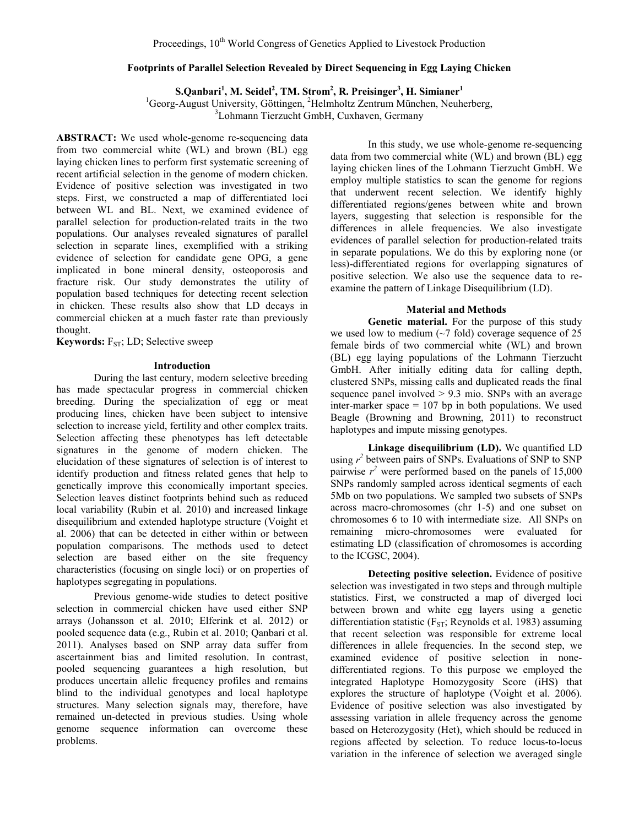## **Footprints of Parallel Selection Revealed by Direct Sequencing in Egg Laying Chicken**

 $\mathbf{S}.\mathbf{Q}$ anbari $^1$ , M. Seidel $^2$ , TM. Strom $^2$ , R. Preisinger $^3$ , H. Simianer $^1$ 

<sup>1</sup>Georg-August University, Göttingen, <sup>2</sup>Helmholtz Zentrum München, Neuherberg,

Lohmann Tierzucht GmbH, Cuxhaven, Germany

**ABSTRACT:** We used whole-genome re-sequencing data from two commercial white (WL) and brown (BL) egg laying chicken lines to perform first systematic screening of recent artificial selection in the genome of modern chicken. Evidence of positive selection was investigated in two steps. First, we constructed a map of differentiated loci between WL and BL. Next, we examined evidence of parallel selection for production-related traits in the two populations. Our analyses revealed signatures of parallel selection in separate lines, exemplified with a striking evidence of selection for candidate gene OPG, a gene implicated in bone mineral density, osteoporosis and fracture risk. Our study demonstrates the utility of population based techniques for detecting recent selection in chicken. These results also show that LD decays in commercial chicken at a much faster rate than previously thought.

**Keywords:** F<sub>ST</sub>; LD; Selective sweep

#### **Introduction**

During the last century, modern selective breeding has made spectacular progress in commercial chicken breeding. During the specialization of egg or meat producing lines, chicken have been subject to intensive selection to increase yield, fertility and other complex traits. Selection affecting these phenotypes has left detectable signatures in the genome of modern chicken. The elucidation of these signatures of selection is of interest to identify production and fitness related genes that help to genetically improve this economically important species. Selection leaves distinct footprints behind such as reduced local variability (Rubin et al. 2010) and increased linkage disequilibrium and extended haplotype structure (Voight et al. 2006) that can be detected in either within or between population comparisons. The methods used to detect selection are based either on the site frequency characteristics (focusing on single loci) or on properties of haplotypes segregating in populations.

Previous genome-wide studies to detect positive selection in commercial chicken have used either SNP arrays (Johansson et al. 2010; Elferink et al. 2012) or pooled sequence data (e.g., Rubin et al. 2010; Qanbari et al. 2011). Analyses based on SNP array data suffer from ascertainment bias and limited resolution. In contrast, pooled sequencing guarantees a high resolution, but produces uncertain allelic frequency profiles and remains blind to the individual genotypes and local haplotype structures. Many selection signals may, therefore, have remained un-detected in previous studies. Using whole genome sequence information can overcome these problems.

In this study, we use whole-genome re-sequencing data from two commercial white (WL) and brown (BL) egg laying chicken lines of the Lohmann Tierzucht GmbH. We employ multiple statistics to scan the genome for regions that underwent recent selection. We identify highly differentiated regions/genes between white and brown layers, suggesting that selection is responsible for the differences in allele frequencies. We also investigate evidences of parallel selection for production-related traits in separate populations. We do this by exploring none (or less)-differentiated regions for overlapping signatures of positive selection. We also use the sequence data to reexamine the pattern of Linkage Disequilibrium (LD).

# **Material and Methods**

**Genetic material.** For the purpose of this study we used low to medium  $(\sim 7 \text{ fold})$  coverage sequence of 25 female birds of two commercial white (WL) and brown (BL) egg laying populations of the Lohmann Tierzucht GmbH. After initially editing data for calling depth, clustered SNPs, missing calls and duplicated reads the final sequence panel involved  $> 9.3$  mio. SNPs with an average inter-marker space  $= 107$  bp in both populations. We used Beagle (Browning and Browning, 2011) to reconstruct haplotypes and impute missing genotypes.

**Linkage disequilibrium (LD).** We quantified LD using  $r^2$  between pairs of SNPs. Evaluations of SNP to SNP pairwise  $r^2$  were performed based on the panels of 15,000 SNPs randomly sampled across identical segments of each 5Mb on two populations. We sampled two subsets of SNPs across macro-chromosomes (chr 1-5) and one subset on chromosomes 6 to 10 with intermediate size. All SNPs on remaining micro-chromosomes were evaluated for estimating LD (classification of chromosomes is according to the ICGSC, 2004).

**Detecting positive selection.** Evidence of positive selection was investigated in two steps and through multiple statistics. First, we constructed a map of diverged loci between brown and white egg layers using a genetic differentiation statistic ( $F_{ST}$ ; Reynolds et al. 1983) assuming that recent selection was responsible for extreme local differences in allele frequencies. In the second step, we examined evidence of positive selection in nonedifferentiated regions. To this purpose we employed the integrated Haplotype Homozygosity Score (iHS) that explores the structure of haplotype (Voight et al. 2006). Evidence of positive selection was also investigated by assessing variation in allele frequency across the genome based on Heterozygosity (Het), which should be reduced in regions affected by selection. To reduce locus-to-locus variation in the inference of selection we averaged single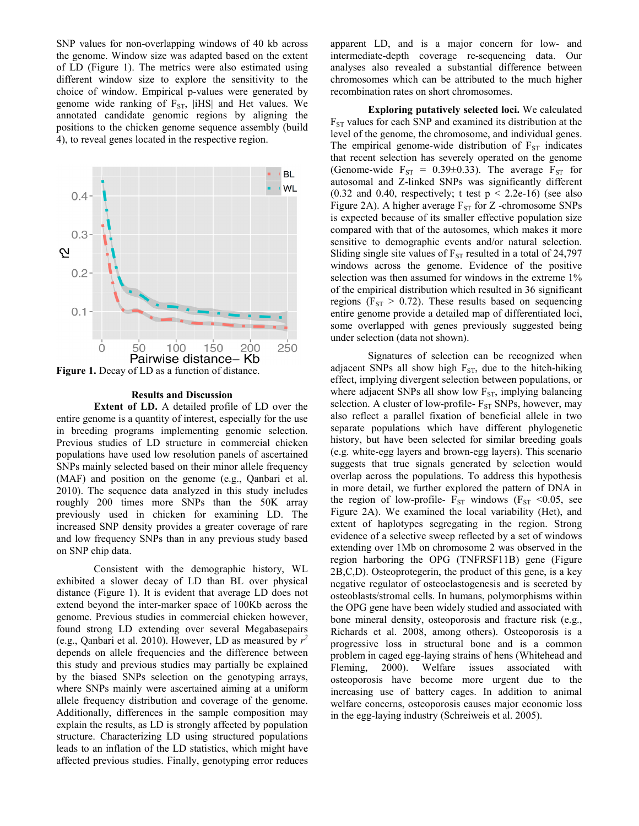SNP values for non-overlapping windows of 40 kb across the genome. Window size was adapted based on the extent of LD (Figure 1). The metrics were also estimated using different window size to explore the sensitivity to the choice of window. Empirical p-values were generated by genome wide ranking of  $F_{ST}$ , |iHS| and Het values. We annotated candidate genomic regions by aligning the positions to the chicken genome sequence assembly (build 4), to reveal genes located in the respective region.



**Results and Discussion**

**Extent of LD.** A detailed profile of LD over the entire genome is a quantity of interest, especially for the use in breeding programs implementing genomic selection. Previous studies of LD structure in commercial chicken populations have used low resolution panels of ascertained SNPs mainly selected based on their minor allele frequency (MAF) and position on the genome (e.g., Qanbari et al. 2010). The sequence data analyzed in this study includes roughly 200 times more SNPs than the 50K array previously used in chicken for examining LD. The increased SNP density provides a greater coverage of rare and low frequency SNPs than in any previous study based on SNP chip data.

Consistent with the demographic history, WL exhibited a slower decay of LD than BL over physical distance (Figure 1). It is evident that average LD does not extend beyond the inter-marker space of 100Kb across the genome. Previous studies in commercial chicken however, found strong LD extending over several Megabasepairs (e.g., Qanbari et al. 2010). However, LD as measured by  $r^2$ depends on allele frequencies and the difference between this study and previous studies may partially be explained by the biased SNPs selection on the genotyping arrays, where SNPs mainly were ascertained aiming at a uniform allele frequency distribution and coverage of the genome. Additionally, differences in the sample composition may explain the results, as LD is strongly affected by population structure. Characterizing LD using structured populations leads to an inflation of the LD statistics, which might have affected previous studies. Finally, genotyping error reduces

apparent LD, and is a major concern for low- and intermediate-depth coverage re-sequencing data. Our analyses also revealed a substantial difference between chromosomes which can be attributed to the much higher recombination rates on short chromosomes.

**Exploring putatively selected loci.** We calculated  $F_{ST}$  values for each SNP and examined its distribution at the level of the genome, the chromosome, and individual genes. The empirical genome-wide distribution of  $F_{ST}$  indicates that recent selection has severely operated on the genome (Genome-wide  $F_{ST} = 0.39 \pm 0.33$ ). The average  $F_{ST}$  for autosomal and Z-linked SNPs was significantly different (0.32 and 0.40, respectively; t test  $p < 2.2e-16$ ) (see also Figure 2A). A higher average  $F_{ST}$  for Z -chromosome SNPs is expected because of its smaller effective population size compared with that of the autosomes, which makes it more sensitive to demographic events and/or natural selection. Sliding single site values of  $F_{ST}$  resulted in a total of 24,797 windows across the genome. Evidence of the positive selection was then assumed for windows in the extreme  $1\%$ of the empirical distribution which resulted in 36 significant regions ( $F_{ST} > 0.72$ ). These results based on sequencing entire genome provide a detailed map of differentiated loci, some overlapped with genes previously suggested being under selection (data not shown).

Signatures of selection can be recognized when adjacent SNPs all show high  $F_{ST}$ , due to the hitch-hiking effect, implying divergent selection between populations, or where adjacent SNPs all show low  $F_{ST}$ , implying balancing selection. A cluster of low-profile- $F_{ST}$  SNPs, however, may also reflect a parallel fixation of beneficial allele in two separate populations which have different phylogenetic history, but have been selected for similar breeding goals (e.g. white-egg layers and brown-egg layers). This scenario suggests that true signals generated by selection would overlap across the populations. To address this hypothesis in more detail, we further explored the pattern of DNA in the region of low-profile-  $F_{ST}$  windows ( $F_{ST}$  <0.05, see Figure 2A). We examined the local variability (Het), and extent of haplotypes segregating in the region. Strong evidence of a selective sweep reflected by a set of windows extending over 1Mb on chromosome 2 was observed in the region harboring the OPG (TNFRSF11B) gene (Figure 2B,C,D). Osteoprotegerin, the product of this gene, is a key negative regulator of osteoclastogenesis and is secreted by osteoblasts/stromal cells. In humans, polymorphisms within the OPG gene have been widely studied and associated with bone mineral density, osteoporosis and fracture risk (e.g., Richards et al. 2008, among others). Osteoporosis is a progressive loss in structural bone and is a common problem in caged egg-laying strains of hens (Whitehead and Fleming, 2000). Welfare issues associated with osteoporosis have become more urgent due to the increasing use of battery cages. In addition to animal welfare concerns, osteoporosis causes major economic loss in the egg-laying industry (Schreiweis et al. 2005).